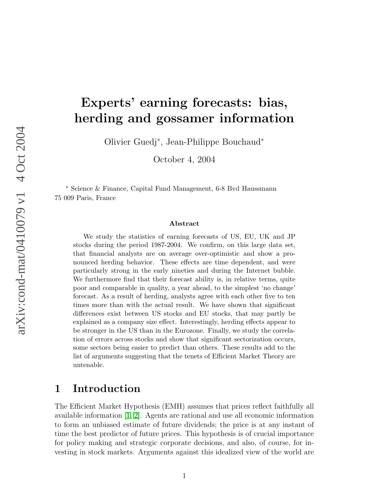# Experts' earning forecasts: bias, herding and gossamer information

Olivier Guedj<sup>∗</sup> , Jean-Philippe Bouchaud<sup>∗</sup>

October 4, 2004

<sup>∗</sup> Science & Finance, Capital Fund Management, 6-8 Bvd Haussmann 75 009 Paris, France

#### Abstract

We study the statistics of earning forecasts of US, EU, UK and JP stocks during the period 1987-2004. We confirm, on this large data set, that financial analysts are on average over-optimistic and show a pronounced herding behavior. These effects are time dependent, and were particularly strong in the early nineties and during the Internet bubble. We furthermore find that their forecast ability is, in relative terms, quite poor and comparable in quality, a year ahead, to the simplest 'no change' forecast. As a result of herding, analysts agree with each other five to ten times more than with the actual result. We have shown that significant differences exist between US stocks and EU stocks, that may partly be explained as a company size effect. Interestingly, herding effects appear to be stronger in the US than in the Eurozone. Finally, we study the correlation of errors across stocks and show that significant sectorization occurs, some sectors being easier to predict than others. These results add to the list of arguments suggesting that the tenets of Efficient Market Theory are untenable.

### 1 Introduction

The Efficient Market Hypothesis (EMH) assumes that prices reflect faithfully all available information [\[1,](#page-12-0) [2\]](#page-13-0). Agents are rational and use all economic information to form an unbiased estimate of future dividends; the price is at any instant of time the best predictor of future prices. This hypothesis is of crucial importance for policy making and strategic corporate decisions, and also, of course, for investing in stock markets. Arguments against this idealized view of the world are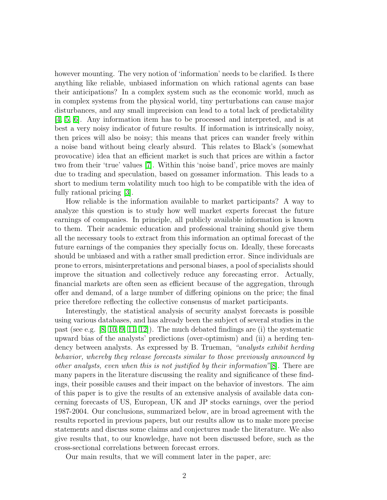however mounting. The very notion of 'information' needs to be clarified. Is there anything like reliable, unbiased information on which rational agents can base their anticipations? In a complex system such as the economic world, much as in complex systems from the physical world, tiny perturbations can cause major disturbances, and any small imprecision can lead to a total lack of predictability [\[4,](#page-13-1) [5,](#page-13-2) [6\]](#page-13-3). Any information item has to be processed and interpreted, and is at best a very noisy indicator of future results. If information is intrinsically noisy, then prices will also be noisy; this means that prices can wander freely within a noise band without being clearly absurd. This relates to Black's (somewhat provocative) idea that an efficient market is such that prices are within a factor two from their 'true' values [\[7\]](#page-13-4). Within this 'noise band', price moves are mainly due to trading and speculation, based on gossamer information. This leads to a short to medium term volatility much too high to be compatible with the idea of fully rational pricing [\[3\]](#page-13-5).

How reliable is the information available to market participants? A way to analyze this question is to study how well market experts forecast the future earnings of companies. In principle, all publicly available information is known to them. Their academic education and professional training should give them all the necessary tools to extract from this information an optimal forecast of the future earnings of the companies they specially focus on. Ideally, these forecasts should be unbiased and with a rather small prediction error. Since individuals are prone to errors, misinterpretations and personal biases, a pool of specialists should improve the situation and collectively reduce any forecasting error. Actually, financial markets are often seen as efficient because of the aggregation, through offer and demand, of a large number of differing opinions on the price; the final price therefore reflecting the collective consensus of market participants.

Interestingly, the statistical analysis of security analyst forecasts is possible using various databases, and has already been the subject of several studies in the past (see e.g.  $[8, 10, 9, 11, 12]$  $[8, 10, 9, 11, 12]$  $[8, 10, 9, 11, 12]$  $[8, 10, 9, 11, 12]$  $[8, 10, 9, 11, 12]$ ). The much debated findings are (i) the systematic upward bias of the analysts' predictions (over-optimism) and (ii) a herding tendency between analysts. As expressed by B. Trueman, "analysts exhibit herding behavior, whereby they release forecasts similar to those previously announced by other analysts, even when this is not justified by their information"[\[8\]](#page-13-6). There are many papers in the literature discussing the reality and significance of these findings, their possible causes and their impact on the behavior of investors. The aim of this paper is to give the results of an extensive analysis of available data concerning forecasts of US, European, UK and JP stocks earnings, over the period 1987-2004. Our conclusions, summarized below, are in broad agreement with the results reported in previous papers, but our results allow us to make more precise statements and discuss some claims and conjectures made the literature. We also give results that, to our knowledge, have not been discussed before, such as the cross-sectional correlations between forecast errors.

Our main results, that we will comment later in the paper, are: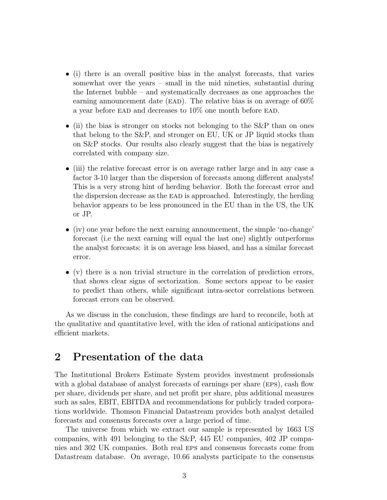- (i) there is an overall positive bias in the analyst forecasts, that varies somewhat over the years – small in the mid nineties, substantial during the Internet bubble – and systematically decreases as one approaches the earning announcement date (EAD). The relative bias is on average of  $60\%$ a year before EAD and decreases to  $10\%$  one month before EAD.
- (ii) the bias is stronger on stocks not belonging to the S&P than on ones that belong to the S&P, and stronger on EU, UK or JP liquid stocks than on S&P stocks. Our results also clearly suggest that the bias is negatively correlated with company size.
- (iii) the relative forecast error is on average rather large and in any case a factor 3-10 larger than the dispersion of forecasts among different analysts! This is a very strong hint of herding behavior. Both the forecast error and the dispersion decrease as the ead is approached. Interestingly, the herding behavior appears to be less pronounced in the EU than in the US, the UK or JP.
- (iv) one year before the next earning announcement, the simple 'no-change' forecast (i.e the next earning will equal the last one) slightly outperforms the analyst forecasts: it is on average less biased, and has a similar forecast error.
- (v) there is a non trivial structure in the correlation of prediction errors, that shows clear signs of sectorization. Some sectors appear to be easier to predict than others, while significant intra-sector correlations between forecast errors can be observed.

As we discuss in the conclusion, these findings are hard to reconcile, both at the qualitative and quantitative level, with the idea of rational anticipations and efficient markets.

### 2 Presentation of the data

The Institutional Brokers Estimate System provides investment professionals with a global database of analyst forecasts of earnings per share (EPS), cash flow per share, dividends per share, and net profit per share, plus additional measures such as sales, EBIT, EBITDA and recommendations for publicly traded corporations worldwide. Thomson Financial Datastream provides both analyst detailed forecasts and consensus forecasts over a large period of time.

The universe from which we extract our sample is represented by 1663 US companies, with 491 belonging to the S&P, 445 EU companies, 402 JP companies and 302 UK companies. Both real eps and consensus forecasts come from Datastream database. On average, 10.66 analysts participate to the consensus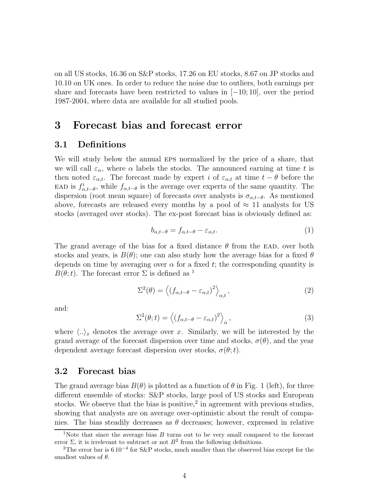on all US stocks, 16.36 on S&P stocks, 17.26 on EU stocks, 8.67 on JP stocks and 10.10 on UK ones. In order to reduce the noise due to outliers, both earnings per share and forecasts have been restricted to values in  $[-10; 10]$ , over the period 1987-2004, where data are available for all studied pools.

## 3 Forecast bias and forecast error

#### 3.1 Definitions

We will study below the annual EPS normalized by the price of a share, that we will call  $\varepsilon_{\alpha}$ , where  $\alpha$  labels the stocks. The announced earning at time t is then noted  $\varepsilon_{\alpha,t}$ . The forecast made by expert i of  $\varepsilon_{\alpha,t}$  at time  $t - \theta$  before the EAD is  $f_{\alpha,t-\theta}^i$ , while  $f_{\alpha,t-\theta}$  is the average over experts of the same quantity. The dispersion (root mean square) of forecasts over analysts is  $\sigma_{\alpha,t-\theta}$ . As mentioned above, forecasts are released every months by a pool of  $\approx 11$  analysts for US stocks (averaged over stocks). The ex-post forecast bias is obviously defined as:

$$
b_{\alpha,t-\theta} = f_{\alpha,t-\theta} - \varepsilon_{\alpha,t}.\tag{1}
$$

The grand average of the bias for a fixed distance  $\theta$  from the EAD, over both stocks and years, is  $B(\theta)$ ; one can also study how the average bias for a fixed  $\theta$ depends on time by averaging over  $\alpha$  for a fixed t; the corresponding quantity is  $B(\theta; t)$ . The forecast error  $\Sigma$  is defined as <sup>1</sup>

$$
\Sigma^{2}(\theta) = \left\langle \left( f_{\alpha, t-\theta} - \varepsilon_{\alpha, t} \right)^{2} \right\rangle_{\alpha, t}, \tag{2}
$$

and:

$$
\Sigma^{2}(\theta; t) = \left\langle \left( f_{\alpha, t-\theta} - \varepsilon_{\alpha, t} \right)^{2} \right\rangle_{\alpha}, \tag{3}
$$

where  $\langle .. \rangle_x$  denotes the average over x. Similarly, we will be interested by the grand average of the forecast dispersion over time and stocks,  $\sigma(\theta)$ , and the year dependent average forecast dispersion over stocks,  $\sigma(\theta; t)$ .

### 3.2 Forecast bias

The grand average bias  $B(\theta)$  is plotted as a function of  $\theta$  in Fig. 1 (left), for three different ensemble of stocks: S&P stocks, large pool of US stocks and European stocks. We observe that the bias is positive,<sup>2</sup> in agreement with previous studies, showing that analysts are on average over-optimistic about the result of companies. The bias steadily decreases as  $\theta$  decreases; however, expressed in relative

<sup>&</sup>lt;sup>1</sup>Note that since the average bias  $B$  turns out to be very small compared to the forecast error  $\Sigma$ , it is irrelevant to subtract or not  $B^2$  from the following definitions.

<sup>2</sup>The error bar is 6 10<sup>−</sup><sup>4</sup> for S&P stocks, much smaller than the observed bias except for the smallest values of  $\theta$ .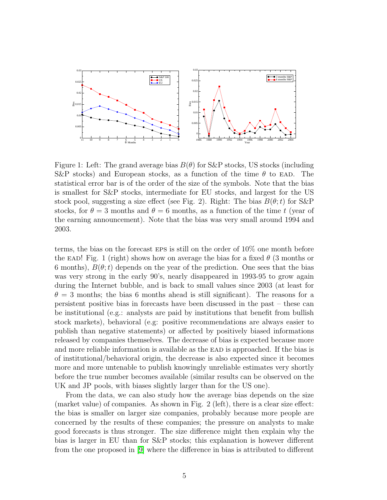

Figure 1: Left: The grand average bias  $B(\theta)$  for S&P stocks, US stocks (including S&P stocks) and European stocks, as a function of the time  $\theta$  to EAD. The statistical error bar is of the order of the size of the symbols. Note that the bias is smallest for S&P stocks, intermediate for EU stocks, and largest for the US stock pool, suggesting a size effect (see Fig. 2). Right: The bias  $B(\theta; t)$  for S&P stocks, for  $\theta = 3$  months and  $\theta = 6$  months, as a function of the time t (year of the earning announcement). Note that the bias was very small around 1994 and 2003.

terms, the bias on the forecast eps is still on the order of 10% one month before the EAD! Fig. 1 (right) shows how on average the bias for a fixed  $\theta$  (3 months or 6 months),  $B(\theta; t)$  depends on the year of the prediction. One sees that the bias was very strong in the early 90's, nearly disappeared in 1993-95 to grow again during the Internet bubble, and is back to small values since 2003 (at least for  $\theta = 3$  months; the bias 6 months ahead is still significant). The reasons for a persistent positive bias in forecasts have been discussed in the past – these can be institutional (e.g.: analysts are paid by institutions that benefit from bullish stock markets), behavioral (e.g: positive recommendations are always easier to publish than negative statements) or affected by positively biased informations released by companies themselves. The decrease of bias is expected because more and more reliable information is available as the EAD is approached. If the bias is of institutional/behavioral origin, the decrease is also expected since it becomes more and more untenable to publish knowingly unreliable estimates very shortly before the true number becomes available (similar results can be observed on the UK and JP pools, with biases slightly larger than for the US one).

From the data, we can also study how the average bias depends on the size (market value) of companies. As shown in Fig. 2 (left), there is a clear size effect: the bias is smaller on larger size companies, probably because more people are concerned by the results of these companies; the pressure on analysts to make good forecasts is thus stronger. The size difference might then explain why the bias is larger in EU than for S&P stocks; this explanation is however different from the one proposed in [\[9\]](#page-13-8) where the difference in bias is attributed to different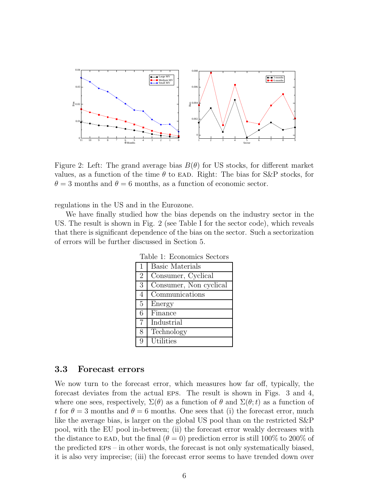

Figure 2: Left: The grand average bias  $B(\theta)$  for US stocks, for different market values, as a function of the time  $\theta$  to EAD. Right: The bias for S&P stocks, for  $\theta = 3$  months and  $\theta = 6$  months, as a function of economic sector.

regulations in the US and in the Eurozone.

We have finally studied how the bias depends on the industry sector in the US. The result is shown in Fig. 2 (see Table I for the sector code), which reveals that there is significant dependence of the bias on the sector. Such a sectorization of errors will be further discussed in Section 5.

| Table 1: Economics Sectors |                        |
|----------------------------|------------------------|
| $\mathbf{1}$               | <b>Basic Materials</b> |
| $\overline{2}$             | Consumer, Cyclical     |
| 3                          | Consumer, Non cyclical |
| 4                          | Communications         |
| $\overline{5}$             | Energy                 |
| 6                          | Finance                |
| 7                          | Industrial             |
| 8                          | Technology             |
| 9                          | Utilities              |

Table 1: Economics Sectors

#### 3.3 Forecast errors

We now turn to the forecast error, which measures how far off, typically, the forecast deviates from the actual eps. The result is shown in Figs. 3 and 4, where one sees, respectively,  $\Sigma(\theta)$  as a function of  $\theta$  and  $\Sigma(\theta; t)$  as a function of t for  $\theta = 3$  months and  $\theta = 6$  months. One sees that (i) the forecast error, much like the average bias, is larger on the global US pool than on the restricted S&P pool, with the EU pool in-between; (ii) the forecast error weakly decreases with the distance to EAD, but the final  $(\theta = 0)$  prediction error is still 100% to 200% of the predicted eps – in other words, the forecast is not only systematically biased, it is also very imprecise; (iii) the forecast error seems to have trended down over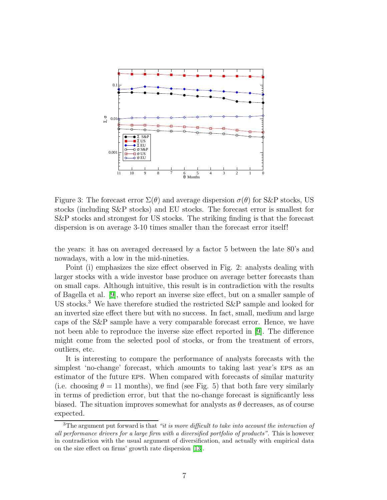

Figure 3: The forecast error  $\Sigma(\theta)$  and average dispersion  $\sigma(\theta)$  for S&P stocks, US stocks (including S&P stocks) and EU stocks. The forecast error is smallest for S&P stocks and strongest for US stocks. The striking finding is that the forecast dispersion is on average 3-10 times smaller than the forecast error itself!

the years: it has on averaged decreased by a factor 5 between the late 80's and nowadays, with a low in the mid-nineties.

Point (i) emphasizes the size effect observed in Fig. 2: analysts dealing with larger stocks with a wide investor base produce on average better forecasts than on small caps. Although intuitive, this result is in contradiction with the results of Bagella et al. [\[9\]](#page-13-8), who report an inverse size effect, but on a smaller sample of US stocks.<sup>3</sup> We have therefore studied the restricted S&P sample and looked for an inverted size effect there but with no success. In fact, small, medium and large caps of the S&P sample have a very comparable forecast error. Hence, we have not been able to reproduce the inverse size effect reported in [\[9\]](#page-13-8). The difference might come from the selected pool of stocks, or from the treatment of errors, outliers, etc.

It is interesting to compare the performance of analysts forecasts with the simplest 'no-change' forecast, which amounts to taking last year's eps as an estimator of the future eps. When compared with forecasts of similar maturity (i.e. choosing  $\theta = 11$  months), we find (see Fig. 5) that both fare very similarly in terms of prediction error, but that the no-change forecast is significantly less biased. The situation improves somewhat for analysts as  $\theta$  decreases, as of course expected.

 $3$ The argument put forward is that "it is more difficult to take into account the interaction of all performance drivers for a large firm with a diversified portfolio of products". This is however in contradiction with the usual argument of diversification, and actually with empirical data on the size effect on firms' growth rate dispersion [\[13\]](#page-13-11).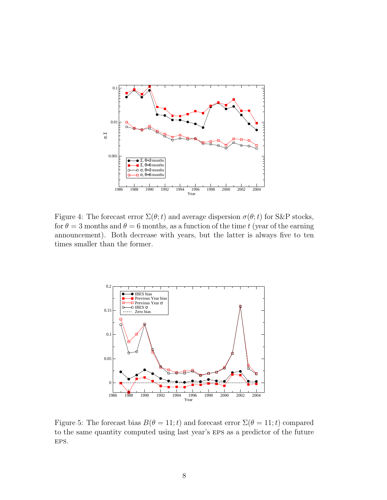

Figure 4: The forecast error  $\Sigma(\theta; t)$  and average dispersion  $\sigma(\theta; t)$  for S&P stocks, for  $\theta = 3$  months and  $\theta = 6$  months, as a function of the time t (year of the earning announcement). Both decrease with years, but the latter is always five to ten times smaller than the former.



Figure 5: The forecast bias  $B(\theta = 11; t)$  and forecast error  $\Sigma(\theta = 11; t)$  compared to the same quantity computed using last year's eps as a predictor of the future EPS.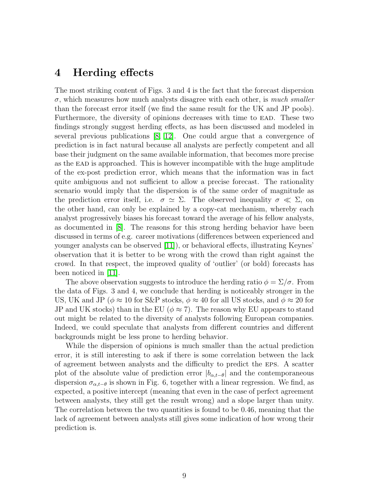### 4 Herding effects

The most striking content of Figs. 3 and 4 is the fact that the forecast dispersion  $\sigma$ , which measures how much analysts disagree with each other, is *much smaller* than the forecast error itself (we find the same result for the UK and JP pools). Furthermore, the diversity of opinions decreases with time to EAD. These two findings strongly suggest herding effects, as has been discussed and modeled in several previous publications [\[8,](#page-13-6) [12\]](#page-13-10). One could argue that a convergence of prediction is in fact natural because all analysts are perfectly competent and all base their judgment on the same available information, that becomes more precise as the ead is approached. This is however incompatible with the huge amplitude of the ex-post prediction error, which means that the information was in fact quite ambiguous and not sufficient to allow a precise forecast. The rationality scenario would imply that the dispersion is of the same order of magnitude as the prediction error itself, i.e.  $\sigma \simeq \Sigma$ . The observed inequality  $\sigma \ll \Sigma$ , on the other hand, can only be explained by a copy-cat mechanism, whereby each analyst progressively biases his forecast toward the average of his fellow analysts, as documented in [\[8\]](#page-13-6). The reasons for this strong herding behavior have been discussed in terms of e.g. career motivations (differences between experienced and younger analysts can be observed [\[11\]](#page-13-9)), or behavioral effects, illustrating Keynes' observation that it is better to be wrong with the crowd than right against the crowd. In that respect, the improved quality of 'outlier' (or bold) forecasts has been noticed in [\[11\]](#page-13-9).

The above observation suggests to introduce the herding ratio  $\phi = \Sigma/\sigma$ . From the data of Figs. 3 and 4, we conclude that herding is noticeably stronger in the US, UK and JP ( $\phi \approx 10$  for S&P stocks,  $\phi \approx 40$  for all US stocks, and  $\phi \approx 20$  for JP and UK stocks) than in the EU ( $\phi \approx 7$ ). The reason why EU appears to stand out might be related to the diversity of analysts following European companies. Indeed, we could speculate that analysts from different countries and different backgrounds might be less prone to herding behavior.

While the dispersion of opinions is much smaller than the actual prediction error, it is still interesting to ask if there is some correlation between the lack of agreement between analysts and the difficulty to predict the eps. A scatter plot of the absolute value of prediction error  $|b_{\alpha,t-\theta}|$  and the contemporaneous dispersion  $\sigma_{\alpha,t-\theta}$  is shown in Fig. 6, together with a linear regression. We find, as expected, a positive intercept (meaning that even in the case of perfect agreement between analysts, they still get the result wrong) and a slope larger than unity. The correlation between the two quantities is found to be 0.46, meaning that the lack of agreement between analysts still gives some indication of how wrong their prediction is.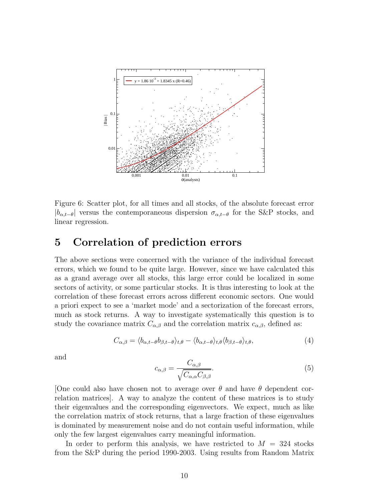

Figure 6: Scatter plot, for all times and all stocks, of the absolute forecast error  $|b_{\alpha,t-\theta}|$  versus the contemporaneous dispersion  $\sigma_{\alpha,t-\theta}$  for the S&P stocks, and linear regression.

### 5 Correlation of prediction errors

The above sections were concerned with the variance of the individual forecast errors, which we found to be quite large. However, since we have calculated this as a grand average over all stocks, this large error could be localized in some sectors of activity, or some particular stocks. It is thus interesting to look at the correlation of these forecast errors across different economic sectors. One would a priori expect to see a 'market mode' and a sectorization of the forecast errors, much as stock returns. A way to investigate systematically this question is to study the covariance matrix  $C_{\alpha,\beta}$  and the correlation matrix  $c_{\alpha,\beta}$ , defined as:

$$
C_{\alpha,\beta} = \langle b_{\alpha,t-\theta} b_{\beta,t-\theta} \rangle_{t,\theta} - \langle b_{\alpha,t-\theta} \rangle_{t,\theta} \langle b_{\beta,t-\theta} \rangle_{t,\theta}, \tag{4}
$$

and

$$
c_{\alpha,\beta} = \frac{C_{\alpha,\beta}}{\sqrt{C_{\alpha,\alpha}C_{\beta,\beta}}}.\tag{5}
$$

[One could also have chosen not to average over  $\theta$  and have  $\theta$  dependent correlation matrices]. A way to analyze the content of these matrices is to study their eigenvalues and the corresponding eigenvectors. We expect, much as like the correlation matrix of stock returns, that a large fraction of these eigenvalues is dominated by measurement noise and do not contain useful information, while only the few largest eigenvalues carry meaningful information.

In order to perform this analysis, we have restricted to  $M = 324$  stocks from the S&P during the period 1990-2003. Using results from Random Matrix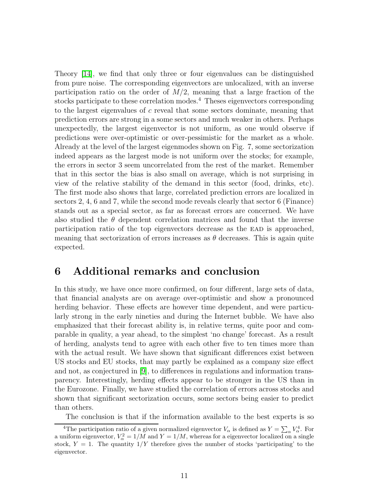Theory [\[14\]](#page-13-12), we find that only three or four eigenvalues can be distinguished from pure noise. The corresponding eigenvectors are unlocalized, with an inverse participation ratio on the order of  $M/2$ , meaning that a large fraction of the stocks participate to these correlation modes.<sup>4</sup> Theses eigenvectors corresponding to the largest eigenvalues of c reveal that some sectors dominate, meaning that prediction errors are strong in a some sectors and much weaker in others. Perhaps unexpectedly, the largest eigenvector is not uniform, as one would observe if predictions were over-optimistic or over-pessimistic for the market as a whole. Already at the level of the largest eigenmodes shown on Fig. 7, some sectorization indeed appears as the largest mode is not uniform over the stocks; for example, the errors in sector 3 seem uncorrelated from the rest of the market. Remember that in this sector the bias is also small on average, which is not surprising in view of the relative stability of the demand in this sector (food, drinks, etc). The first mode also shows that large, correlated prediction errors are localized in sectors 2, 4, 6 and 7, while the second mode reveals clearly that sector 6 (Finance) stands out as a special sector, as far as forecast errors are concerned. We have also studied the  $\theta$  dependent correlation matrices and found that the inverse participation ratio of the top eigenvectors decrease as the EAD is approached, meaning that sectorization of errors increases as  $\theta$  decreases. This is again quite expected.

### 6 Additional remarks and conclusion

In this study, we have once more confirmed, on four different, large sets of data, that financial analysts are on average over-optimistic and show a pronounced herding behavior. These effects are however time dependent, and were particularly strong in the early nineties and during the Internet bubble. We have also emphasized that their forecast ability is, in relative terms, quite poor and comparable in quality, a year ahead, to the simplest 'no change' forecast. As a result of herding, analysts tend to agree with each other five to ten times more than with the actual result. We have shown that significant differences exist between US stocks and EU stocks, that may partly be explained as a company size effect and not, as conjectured in [\[9\]](#page-13-8), to differences in regulations and information transparency. Interestingly, herding effects appear to be stronger in the US than in the Eurozone. Finally, we have studied the correlation of errors across stocks and shown that significant sectorization occurs, some sectors being easier to predict than others.

The conclusion is that if the information available to the best experts is so

<sup>&</sup>lt;sup>4</sup>The participation ratio of a given normalized eigenvector  $V_{\alpha}$  is defined as  $Y = \sum_{\alpha} V_{\alpha}^4$ . For a uniform eigenvector,  $V_{\alpha}^2 = 1/M$  and  $Y = 1/M$ , whereas for a eigenvector localized on a single stock,  $Y = 1$ . The quantity  $1/Y$  therefore gives the number of stocks 'participating' to the eigenvector.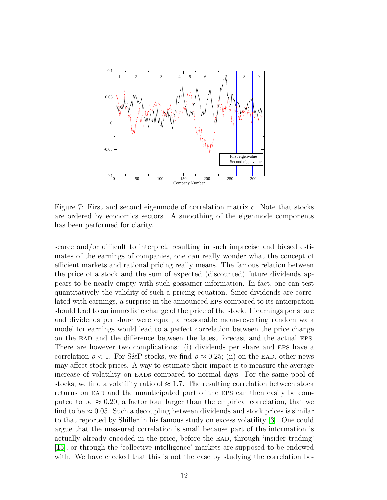

Figure 7: First and second eigenmode of correlation matrix c. Note that stocks are ordered by economics sectors. A smoothing of the eigenmode components has been performed for clarity.

scarce and/or difficult to interpret, resulting in such imprecise and biased estimates of the earnings of companies, one can really wonder what the concept of efficient markets and rational pricing really means. The famous relation between the price of a stock and the sum of expected (discounted) future dividends appears to be nearly empty with such gossamer information. In fact, one can test quantitatively the validity of such a pricing equation. Since dividends are correlated with earnings, a surprise in the announced eps compared to its anticipation should lead to an immediate change of the price of the stock. If earnings per share and dividends per share were equal, a reasonable mean-reverting random walk model for earnings would lead to a perfect correlation between the price change on the ead and the difference between the latest forecast and the actual eps. There are however two complications: (i) dividends per share and eps have a correlation  $\rho < 1$ . For S&P stocks, we find  $\rho \approx 0.25$ ; (ii) on the EAD, other news may affect stock prices. A way to estimate their impact is to measure the average increase of volatility on EADs compared to normal days. For the same pool of stocks, we find a volatility ratio of  $\approx 1.7$ . The resulting correlation between stock returns on EAD and the unanticipated part of the EPS can then easily be computed to be  $\approx 0.20$ , a factor four larger than the empirical correlation, that we find to be  $\approx 0.05$ . Such a decoupling between dividends and stock prices is similar to that reported by Shiller in his famous study on excess volatility [\[3\]](#page-13-5). One could argue that the measured correlation is small because part of the information is actually already encoded in the price, before the ead, through 'insider trading' [\[15\]](#page-13-13), or through the 'collective intelligence' markets are supposed to be endowed with. We have checked that this is not the case by studying the correlation be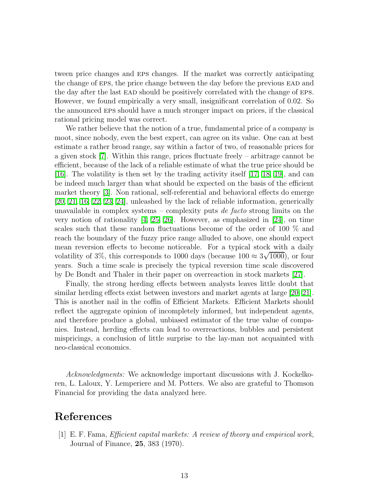tween price changes and eps changes. If the market was correctly anticipating the change of EPS, the price change between the day before the previous EAD and the day after the last ead should be positively correlated with the change of eps. However, we found empirically a very small, insignificant correlation of 0.02. So the announced eps should have a much stronger impact on prices, if the classical rational pricing model was correct.

We rather believe that the notion of a true, fundamental price of a company is moot, since nobody, even the best expert, can agree on its value. One can at best estimate a rather broad range, say within a factor of two, of reasonable prices for a given stock [\[7\]](#page-13-4). Within this range, prices fluctuate freely – arbitrage cannot be efficient, because of the lack of a reliable estimate of what the true price should be [\[16\]](#page-13-14). The volatility is then set by the trading activity itself [\[17,](#page-14-0) [18,](#page-14-1) [19\]](#page-14-2), and can be indeed much larger than what should be expected on the basis of the efficient market theory [\[3\]](#page-13-5). Non rational, self-referential and behavioral effects do emerge [\[20,](#page-14-3) [21,](#page-14-4) [16,](#page-13-14) [22,](#page-14-5) [23,](#page-14-6) [24\]](#page-14-7), unleashed by the lack of reliable information, generically unavailable in complex systems – complexity puts de facto strong limits on the very notion of rationality  $[4, 25, 26]$  $[4, 25, 26]$  $[4, 25, 26]$ . However, as emphasized in [\[24\]](#page-14-7), on time scales such that these random fluctuations become of the order of 100 % and reach the boundary of the fuzzy price range alluded to above, one should expect mean reversion effects to become noticeable. For a typical stock with a daily volatility of 3%, this corresponds to 1000 days (because  $100 \approx 3\sqrt{1000}$ ), or four years. Such a time scale is precisely the typical reversion time scale discovered by De Bondt and Thaler in their paper on overreaction in stock markets [\[27\]](#page-14-10).

Finally, the strong herding effects between analysts leaves little doubt that similar herding effects exist between investors and market agents at large [\[20,](#page-14-3) [21\]](#page-14-4). This is another nail in the coffin of Efficient Markets. Efficient Markets should reflect the aggregate opinion of incompletely informed, but independent agents, and therefore produce a global, unbiased estimator of the true value of companies. Instead, herding effects can lead to overreactions, bubbles and persistent mispricings, a conclusion of little surprise to the lay-man not acquainted with neo-classical economics.

Acknowledgments: We acknowledge important discussions with J. Kockelkoren, L. Laloux, Y. Lemperiere and M. Potters. We also are grateful to Thomson Financial for providing the data analyzed here.

### <span id="page-12-0"></span>References

[1] E. F. Fama, Efficient capital markets: A review of theory and empirical work, Journal of Finance, 25, 383 (1970).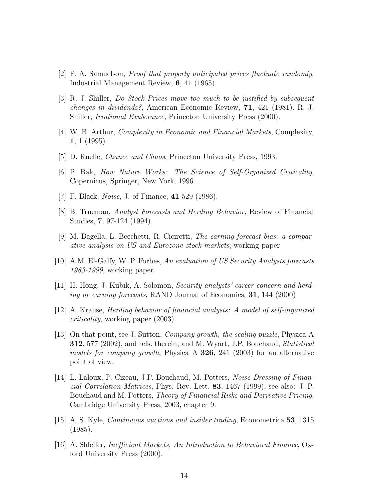- <span id="page-13-5"></span><span id="page-13-0"></span>[2] P. A. Samuelson, Proof that properly anticipated prices fluctuate randomly, Industrial Management Review, 6, 41 (1965).
- [3] R. J. Shiller, Do Stock Prices move too much to be justified by subsequent changes in dividends?, American Economic Review, 71, 421 (1981). R. J. Shiller, Irrational Exuberance, Princeton University Press (2000).
- <span id="page-13-2"></span><span id="page-13-1"></span>[4] W. B. Arthur, Complexity in Economic and Financial Markets, Complexity, 1, 1 (1995).
- <span id="page-13-3"></span>[5] D. Ruelle, Chance and Chaos, Princeton University Press, 1993.
- <span id="page-13-4"></span>[6] P. Bak, How Nature Works: The Science of Self-Organized Criticality, Copernicus, Springer, New York, 1996.
- <span id="page-13-6"></span>[7] F. Black, *Noise*, J. of Finance, **41** 529 (1986).
- [8] B. Trueman, Analyst Forecasts and Herding Behavior, Review of Financial Studies, 7, 97-124 (1994).
- <span id="page-13-8"></span>[9] M. Bagella, L. Becchetti, R. Ciciretti, The earning forecast bias: a comparative analysis on US and Eurozone stock markets; working paper
- <span id="page-13-9"></span><span id="page-13-7"></span>[10] A.M. El-Galfy, W. P. Forbes, An evaluation of US Security Analysts forecasts 1983-1999, working paper.
- <span id="page-13-10"></span>[11] H. Hong, J. Kubik, A. Solomon, Security analysts' career concern and herding or earning forecasts, RAND Journal of Economics, 31, 144 (2000)
- <span id="page-13-11"></span>[12] A. Krause, Herding behavior of financial analysts: A model of self-organized criticality, working paper (2003).
- [13] On that point, see J. Sutton, Company growth, the scaling puzzle, Physica A **312**, 577 (2002), and refs. therein, and M. Wyart, J.P. Bouchaud, *Statistical* models for company growth, Physica A 326, 241 (2003) for an alternative point of view.
- <span id="page-13-12"></span>[14] L. Laloux, P. Cizeau, J.P. Bouchaud, M. Potters, Noise Dressing of Financial Correlation Matrices, Phys. Rev. Lett. 83, 1467 (1999), see also: J.-P. Bouchaud and M. Potters, Theory of Financial Risks and Derivative Pricing, Cambridge University Press, 2003, chapter 9.
- <span id="page-13-13"></span>[15] A. S. Kyle, Continuous auctions and insider trading, Econometrica 53, 1315 (1985).
- <span id="page-13-14"></span>[16] A. Shleifer, Inefficient Markets, An Introduction to Behavioral Finance, Oxford University Press (2000).